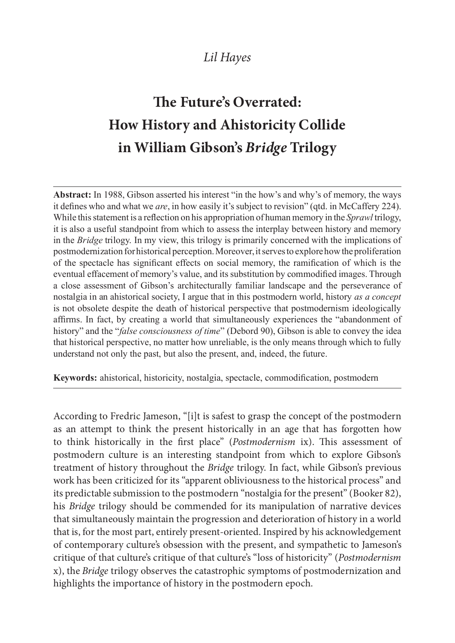## Lil Hayes

## The Future's Overrated: How History and Ahistoricity Collide in William Gibson's Bridge Trilogy

Abstract: In 1988, Gibson asserted his interest "in the how's and why's of memory, the ways it defines who and what we *are*, in how easily it's subject to revision" (qtd. in McCaffery 224). While this statement is a reflection on his appropriation of human memory in the *Sprawl* trilogy, it is also a useful standpoint from which to assess the interplay between history and memory in the *Bridge* trilogy. In my view, this trilogy is primarily concerned with the implications of postmodernization for historical perception. Moreover, it serves to explore how the proliferation of the spectacle has significant effects on social memory, the ramification of which is the eventual effacement of memory's value, and its substitution by commodified images. Through a close assessment of Gibson's architecturally familiar landscape and the perseverance of nostalgia in an ahistorical society. I argue that in this postmodern world, history as a concept is not obsolete despite the death of historical perspective that postmodernism ideologically affirms. In fact, by creating a world that simultaneously experiences the "abandonment of history" and the "false consciousness of time" (Debord 90), Gibson is able to convey the idea that historical perspective, no matter how unreliable, is the only means through which to fully understand not only the past, but also the present, and, indeed, the future.

Keywords: ahistorical, historicity, nostalgia, spectacle, commodification, postmodern

According to Fredric Jameson, "[i]t is safest to grasp the concept of the postmodern as an attempt to think the present historically in an age that has forgotten how to think historically in the first place" (Postmodernism ix). This assessment of postmodern culture is an interesting standpoint from which to explore Gibson's treatment of history throughout the Bridge trilogy. In fact, while Gibson's previous work has been criticized for its "apparent obliviousness to the historical process" and its predictable submission to the postmodern "nostalgia for the present" (Booker 82), his Bridge trilogy should be commended for its manipulation of narrative devices that simultaneously maintain the progression and deterioration of history in a world that is, for the most part, entirely present-oriented. Inspired by his acknowledgement of contemporary culture's obsession with the present, and sympathetic to Jameson's critique of that culture's critique of that culture's "loss of historicity" (Postmodernism x), the Bridge trilogy observes the catastrophic symptoms of postmodernization and highlights the importance of history in the postmodern epoch.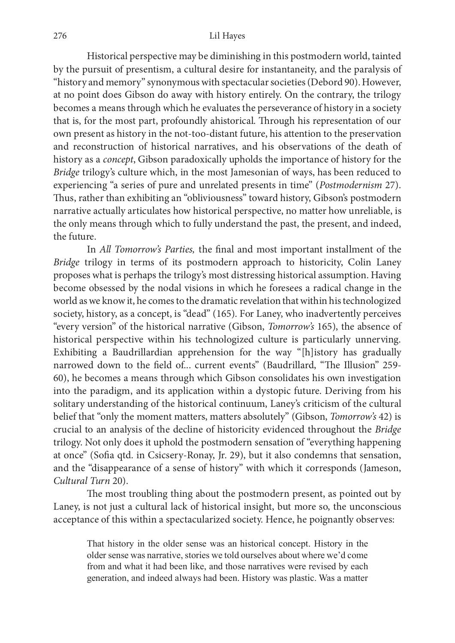Historical perspective may be diminishing in this postmodern world, tainted by the pursuit of presentism, a cultural desire for instantaneity, and the paralysis of "history and memory" synonymous with spectacular societies (Debord 90). However, at no point does Gibson do away with history entirely. On the contrary, the trilogy becomes a means through which he evaluates the perseverance of history in a society that is, for the most part, profoundly ahistorical. Through his representation of our own present as history in the not-too-distant future, his attention to the preservation and reconstruction of historical narratives, and his observations of the death of history as a concept, Gibson paradoxically upholds the importance of history for the Bridge trilogy's culture which, in the most Jamesonian of ways, has been reduced to experiencing "a series of pure and unrelated presents in time" (Postmodernism 27). Thus, rather than exhibiting an "obliviousness" toward history, Gibson's postmodern narrative actually articulates how historical perspective, no matter how unreliable, is the only means through which to fully understand the past, the present, and indeed, the future.

In All Tomorrow's Parties, the final and most important installment of the Bridge trilogy in terms of its postmodern approach to historicity, Colin Laney proposes what is perhaps the trilogy's most distressing historical assumption. Having become obsessed by the nodal visions in which he foresees a radical change in the world as we know it, he comes to the dramatic revelation that within his technologized society, history, as a concept, is "dead" (165). For Laney, who inadvertently perceives "every version" of the historical narrative (Gibson, Tomorrow's 165), the absence of historical perspective within his technologized culture is particularly unnerving. Exhibiting a Baudrillardian apprehension for the way "[h]istory has gradually narrowed down to the field of... current events" (Baudrillard, "The Illusion" 259-60), he becomes a means through which Gibson consolidates his own investigation into the paradigm, and its application within a dystopic future. Deriving from his solitary understanding of the historical continuum, Laney's criticism of the cultural belief that "only the moment matters, matters absolutely" (Gibson, Tomorrow's 42) is crucial to an analysis of the decline of historicity evidenced throughout the Bridge trilogy. Not only does it uphold the postmodern sensation of "everything happening at once" (Soma qtd. in Csicsery-Ronay, Jr. 29), but it also condemns that sensation, and the "disappearance of a sense of history" with which it corresponds (Jameson, Cultural Turn 20).

The most troubling thing about the postmodern present, as pointed out by Laney, is not just a cultural lack of historical insight, but more so, the unconscious acceptance of this within a spectacularized society. Hence, he poignantly observes:

That history in the older sense was an historical concept. History in the older sense was narrative, stories we told ourselves about where we'd come from and what it had been like, and those narratives were revised by each generation, and indeed always had been. History was plastic. Was a matter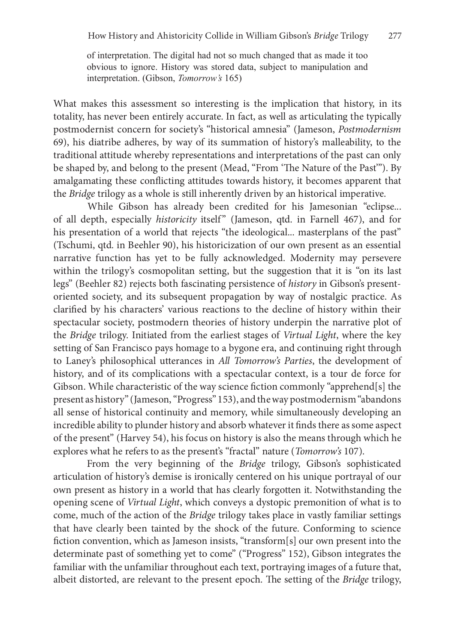of interpretation. The digital had not so much changed that as made it too obvious to ignore. History was stored data, subject to manipulation and interpretation. (Gibson, *Tomorrow's* 165)

What makes this assessment so interesting is the implication that history, in its totality, has never been entirely accurate. In fact, as well as articulating the typically postmodernist concern for society's "historical amnesia" (Jameson, Postmodernism 69), his diatribe adheres, by way of its summation of history's malleability, to the traditional attitude whereby representations and interpretations of the past can only be shaped by, and belong to the present (Mead, "From 'The Nature of the Past"). By amalgamating these conflicting attitudes towards history, it becomes apparent that the Bridge trilogy as a whole is still inherently driven by an historical imperative. <sup>1</sup> (59), his diatribe adheres, by way of its summation of history's malleability, to the traditional attitude whereby representations and interpretations of the past can only be shaped by, and belong to the present (Mead,

While Gibson has already been credited for his Jamesonian "eclipse... his presentation of a world that rejects "the ideological... masterplans of the past" (Tschumi, qtd. in Beehler 90), his historicization of our own present as an essential narrative function has yet to be fully acknowledged. Modernity may persevere within the trilogy's cosmopolitan setting, but the suggestion that it is "on its last legs" (Beehler 82) rejects both fascinating persistence of history in Gibson's presentoriented society, and its subsequent propagation by way of nostalgic practice. As clarimed by his characters' various reactions to the decline of history within their spectacular society, postmodern theories of history underpin the narrative plot of the Bridge trilogy. Initiated from the earliest stages of Virtual Light, where the key setting of San Francisco pays homage to a bygone era, and continuing right through to Laney's philosophical utterances in All Tomorrow's Parties, the development of history, and of its complications with a spectacular context, is a tour de force for Gibson. While characteristic of the way science fiction commonly "apprehend[s] the present as history" (Jameson, "Progress" 153), and the way postmodernism "abandons all sense of historical continuity and memory, while simultaneously developing an incredible ability to plunder history and absorb whatever it finds there as some aspect of the present" (Harvey 54), his focus on history is also the means through which he explores what he refers to as the present's "fractal" nature (Tomorrow's 107).

From the very beginning of the Bridge trilogy, Gibson's sophisticated articulation of history's demise is ironically centered on his unique portrayal of our own present as history in a world that has clearly forgotten it. Notwithstanding the opening scene of Virtual Light, which conveys a dystopic premonition of what is to come, much of the action of the Bridge trilogy takes place in vastly familiar settings that have clearly been tainted by the shock of the future. Conforming to science fiction convention, which as Jameson insists, "transform[s] our own present into the determinate past of something yet to come" ("Progress" 152), Gibson integrates the familiar with the unfamiliar throughout each text, portraying images of a future that, albeit distorted, are relevant to the present epoch. The setting of the *Bridge* trilogy,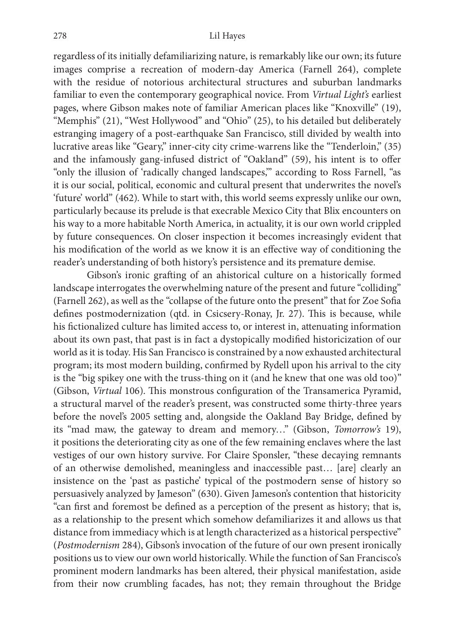regardless of its initially defamiliarizing nature, is remarkably like our own; its future images comprise a recreation of modern-day America (Farnell 264), complete with the residue of notorious architectural structures and suburban landmarks familiar to even the contemporary geographical novice. From Virtual Light's earliest pages, where Gibson makes note of familiar American places like "Knoxville" (19), "Memphis" (21), "West Hollywood" and "Ohio" (25), to his detailed but deliberately estranging imagery of a post-earthquake San Francisco, still divided by wealth into lucrative areas like "Geary," inner-city city crime-warrens like the "Tenderloin," (35) and the infamously gang-infused district of "Oakland" (59), his intent is to offer "only the illusion of 'radically changed landscapes,'" according to Ross Farnell, "as it is our social, political, economic and cultural present that underwrites the novel's 'future' world" (462). While to start with, this world seems expressly unlike our own, particularly because its prelude is that execrable Mexico City that Blix encounters on his way to a more habitable North America, in actuality, it is our own world crippled by future consequences. On closer inspection it becomes increasingly evident that his modification of the world as we know it is an effective way of conditioning the reader's understanding of both history's persistence and its premature demise.

Gibson's ironic grafting of an ahistorical culture on a historically formed landscape interrogates the overwhelming nature of the present and future "colliding" (Farnell 262), as well as the "collapse of the future onto the present" that for Zoe Soma defines postmodernization (qtd. in Csicsery-Ronay, Jr. 27). This is because, while his fictionalized culture has limited access to, or interest in, attenuating information about its own past, that past is in fact a dystopically modified historicization of our world as it is today. His San Francisco is constrained by a now exhausted architectural program; its most modern building, confirmed by Rydell upon his arrival to the city is the "big spikey one with the truss-thing on it (and he knew that one was old too)" (Gibson, Virtual 106). This monstrous configuration of the Transamerica Pyramid, a structural marvel of the reader's present, was constructed some thirty-three years before the novel's 2005 setting and, alongside the Oakland Bay Bridge, defined by its "mad maw, the gateway to dream and memory…" (Gibson, Tomorrow's 19), it positions the deteriorating city as one of the few remaining enclaves where the last vestiges of our own history survive. For Claire Sponsler, "these decaying remnants of an otherwise demolished, meaningless and inaccessible past… [are] clearly an insistence on the 'past as pastiche' typical of the postmodern sense of history so persuasively analyzed by Jameson" (630). Given Jameson's contention that historicity "can first and foremost be defined as a perception of the present as history; that is, as a relationship to the present which somehow defamiliarizes it and allows us that distance from immediacy which is at length characterized as a historical perspective" (Postmodernism 284), Gibson's invocation of the future of our own present ironically positions us to view our own world historically. While the function of San Francisco's prominent modern landmarks has been altered, their physical manifestation, aside from their now crumbling facades, has not; they remain throughout the Bridge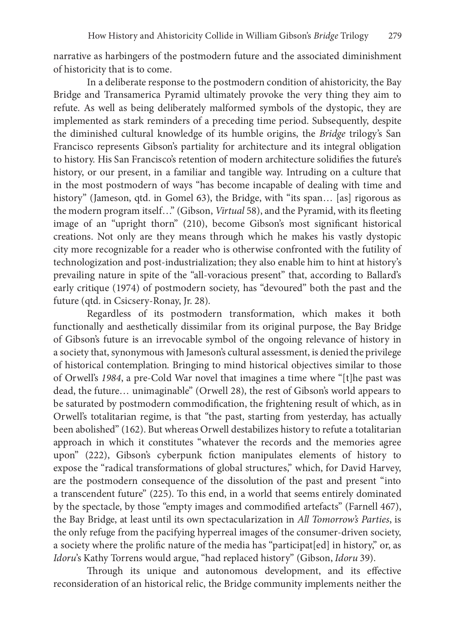narrative as harbingers of the postmodern future and the associated diminishment of historicity that is to come.

In a deliberate response to the postmodern condition of ahistoricity, the Bay Bridge and Transamerica Pyramid ultimately provoke the very thing they aim to refute. As well as being deliberately malformed symbols of the dystopic, they are implemented as stark reminders of a preceding time period. Subsequently, despite the diminished cultural knowledge of its humble origins, the Bridge trilogy's San Francisco represents Gibson's partiality for architecture and its integral obligation to history. His San Francisco's retention of modern architecture solidifies the future's history, or our present, in a familiar and tangible way. Intruding on a culture that in the most postmodern of ways "has become incapable of dealing with time and history" (Jameson, qtd. in Gomel 63), the Bridge, with "its span... [as] rigorous as the modern program itself..." (Gibson, Virtual 58), and the Pyramid, with its fleeting image of an "upright thorn" (210), become Gibson's most significant historical creations. Not only are they means through which he makes his vastly dystopic city more recognizable for a reader who is otherwise confronted with the futility of technologization and post-industrialization; they also enable him to hint at history's prevailing nature in spite of the "all-voracious present" that, according to Ballard's early critique (1974) of postmodern society, has "devoured" both the past and the future (qtd. in Csicsery-Ronay, Jr. 28).

Regardless of its postmodern transformation, which makes it both functionally and aesthetically dissimilar from its original purpose, the Bay Bridge of Gibson's future is an irrevocable symbol of the ongoing relevance of history in a society that, synonymous with Jameson's cultural assessment, is denied the privilege of historical contemplation. Bringing to mind historical objectives similar to those of Orwell's 1984, a pre-Cold War novel that imagines a time where "[t]he past was dead, the future… unimaginable" (Orwell 28), the rest of Gibson's world appears to be saturated by postmodern commodification, the frightening result of which, as in Orwell's totalitarian regime, is that "the past, starting from yesterday, has actually been abolished" (162). But whereas Orwell destabilizes history to refute a totalitarian approach in which it constitutes "whatever the records and the memories agree upon" (222), Gibson's cyberpunk fiction manipulates elements of history to expose the "radical transformations of global structures," which, for David Harvey, are the postmodern consequence of the dissolution of the past and present "into a transcendent future" (225). To this end, in a world that seems entirely dominated by the spectacle, by those "empty images and commodified artefacts" (Farnell 467), the Bay Bridge, at least until its own spectacularization in All Tomorrow's Parties, is the only refuge from the pacifying hyperreal images of the consumer-driven society, a society where the prolific nature of the media has "participat[ed] in history," or, as Idoru's Kathy Torrens would argue, "had replaced history" (Gibson, Idoru 39).

Through its unique and autonomous development, and its effective reconsideration of an historical relic, the Bridge community implements neither the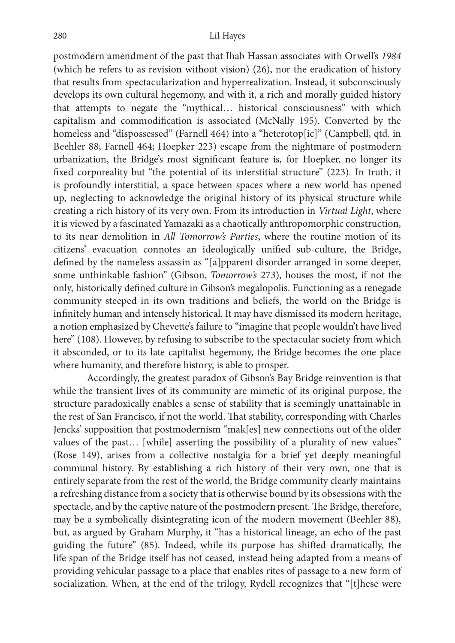postmodern amendment of the past that Ihab Hassan associates with Orwell's 1984 (which he refers to as revision without vision) (26), nor the eradication of history that results from spectacularization and hyperrealization. Instead, it subconsciously develops its own cultural hegemony, and with it, a rich and morally guided history that attempts to negate the "mythical… historical consciousness" with which capitalism and commodification is associated (McNally 195). Converted by the homeless and "dispossessed" (Farnell 464) into a "heterotop[ic]" (Campbell, qtd. in Beehler 88; Farnell 464; Hoepker 223) escape from the nightmare of postmodern urbanization, the Bridge's most significant feature is, for Hoepker, no longer its fixed corporeality but "the potential of its interstitial structure" (223). In truth, it is profoundly interstitial, a space between spaces where a new world has opened up, neglecting to acknowledge the original history of its physical structure while creating a rich history of its very own. From its introduction in Virtual Light, where it is viewed by a fascinated Yamazaki as a chaotically anthropomorphic construction, to its near demolition in All Tomorrow's Parties, where the routine motion of its citizens' evacuation connotes an ideologically unified sub-culture, the Bridge, defined by the nameless assassin as "[a]pparent disorder arranged in some deeper, some unthinkable fashion" (Gibson, Tomorrow's 273), houses the most, if not the only, historically defined culture in Gibson's megalopolis. Functioning as a renegade community steeped in its own traditions and beliefs, the world on the Bridge is infinitely human and intensely historical. It may have dismissed its modern heritage, a notion emphasized by Chevette's failure to "imagine that people wouldn't have lived here" (108). However, by refusing to subscribe to the spectacular society from which it absconded, or to its late capitalist hegemony, the Bridge becomes the one place where humanity, and therefore history, is able to prosper.

Accordingly, the greatest paradox of Gibson's Bay Bridge reinvention is that while the transient lives of its community are mimetic of its original purpose, the structure paradoxically enables a sense of stability that is seemingly unattainable in the rest of San Francisco, if not the world. That stability, corresponding with Charles Jencks' supposition that postmodernism "mak[es] new connections out of the older values of the past… [while] asserting the possibility of a plurality of new values" (Rose 149), arises from a collective nostalgia for a brief yet deeply meaningful communal history. By establishing a rich history of their very own, one that is entirely separate from the rest of the world, the Bridge community clearly maintains a refreshing distance from a society that is otherwise bound by its obsessions with the spectacle, and by the captive nature of the postmodern present. The Bridge, therefore, may be a symbolically disintegrating icon of the modern movement (Beehler 88), but, as argued by Graham Murphy, it "has a historical lineage, an echo of the past guiding the future" (85). Indeed, while its purpose has shiled dramatically, the life span of the Bridge itself has not ceased, instead being adapted from a means of providing vehicular passage to a place that enables rites of passage to a new form of socialization. When, at the end of the trilogy, Rydell recognizes that "[t]hese were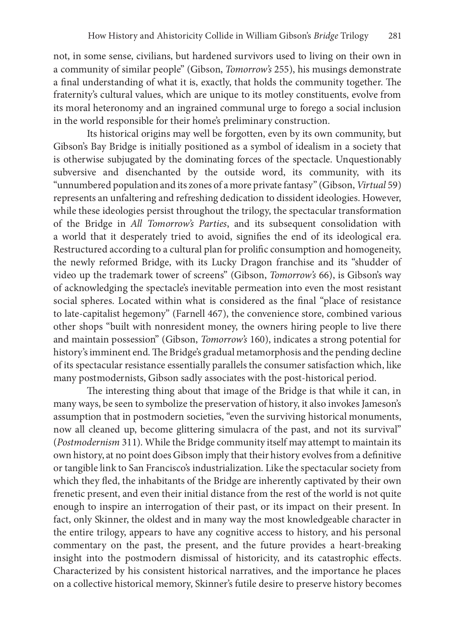not, in some sense, civilians, but hardened survivors used to living on their own in a community of similar people" (Gibson, Tomorrow's 255), his musings demonstrate a final understanding of what it is, exactly, that holds the community together. The fraternity's cultural values, which are unique to its motley constituents, evolve from its moral heteronomy and an ingrained communal urge to forego a social inclusion in the world responsible for their home's preliminary construction.

Its historical origins may well be forgotten, even by its own community, but Gibson's Bay Bridge is initially positioned as a symbol of idealism in a society that is otherwise subjugated by the dominating forces of the spectacle. Unquestionably subversive and disenchanted by the outside word, its community, with its "unnumbered population and its zones of a more private fantasy" (Gibson, Virtual 59) represents an unfaltering and refreshing dedication to dissident ideologies. However, while these ideologies persist throughout the trilogy, the spectacular transformation of the Bridge in All Tomorrow's Parties, and its subsequent consolidation with a world that it desperately tried to avoid, signifies the end of its ideological era. Restructured according to a cultural plan for prolific consumption and homogeneity, the newly reformed Bridge, with its Lucky Dragon franchise and its "shudder of video up the trademark tower of screens" (Gibson, Tomorrow's 66), is Gibson's way of acknowledging the spectacle's inevitable permeation into even the most resistant social spheres. Located within what is considered as the final "place of resistance to late-capitalist hegemony" (Farnell 467), the convenience store, combined various other shops "built with nonresident money, the owners hiring people to live there and maintain possession" (Gibson, Tomorrow's 160), indicates a strong potential for history's imminent end. The Bridge's gradual metamorphosis and the pending decline of its spectacular resistance essentially parallels the consumer satisfaction which, like many postmodernists, Gibson sadly associates with the post-historical period.

The interesting thing about that image of the Bridge is that while it can, in many ways, be seen to symbolize the preservation of history, it also invokes Jameson's assumption that in postmodern societies, "even the surviving historical monuments, now all cleaned up, become glittering simulacra of the past, and not its survival" (Postmodernism 311). While the Bridge community itself may attempt to maintain its own history, at no point does Gibson imply that their history evolves from a definitive or tangible link to San Francisco's industrialization. Like the spectacular society from which they fled, the inhabitants of the Bridge are inherently captivated by their own frenetic present, and even their initial distance from the rest of the world is not quite enough to inspire an interrogation of their past, or its impact on their present. In fact, only Skinner, the oldest and in many way the most knowledgeable character in the entire trilogy, appears to have any cognitive access to history, and his personal commentary on the past, the present, and the future provides a heart-breaking insight into the postmodern dismissal of historicity, and its catastrophic effects. Characterized by his consistent historical narratives, and the importance he places on a collective historical memory, Skinner's futile desire to preserve history becomes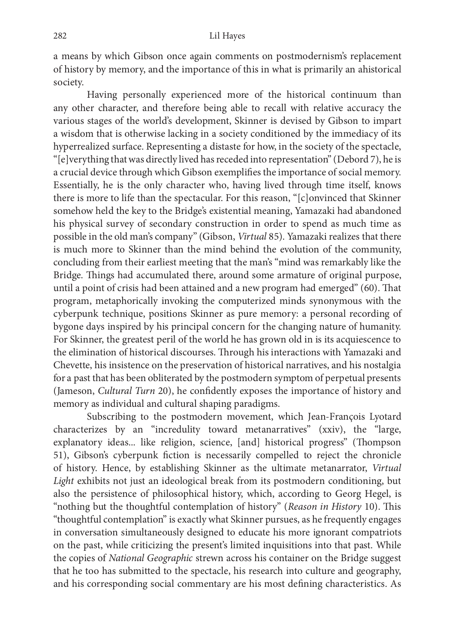a means by which Gibson once again comments on postmodernism's replacement of history by memory, and the importance of this in what is primarily an ahistorical society.

Having personally experienced more of the historical continuum than any other character, and therefore being able to recall with relative accuracy the various stages of the world's development, Skinner is devised by Gibson to impart a wisdom that is otherwise lacking in a society conditioned by the immediacy of its hyperrealized surface. Representing a distaste for how, in the society of the spectacle, "[e]verything that was directly lived has receded into representation" (Debord 7), he is a crucial device through which Gibson exemplimes the importance of social memory. Essentially, he is the only character who, having lived through time itself, knows there is more to life than the spectacular. For this reason, "[c]onvinced that Skinner somehow held the key to the Bridge's existential meaning, Yamazaki had abandoned his physical survey of secondary construction in order to spend as much time as possible in the old man's company" (Gibson, Virtual 85). Yamazaki realizes that there is much more to Skinner than the mind behind the evolution of the community, concluding from their earliest meeting that the man's "mind was remarkably like the Bridge. Things had accumulated there, around some armature of original purpose, until a point of crisis had been attained and a new program had emerged"  $(60)$ . That program, metaphorically invoking the computerized minds synonymous with the cyberpunk technique, positions Skinner as pure memory: a personal recording of bygone days inspired by his principal concern for the changing nature of humanity. For Skinner, the greatest peril of the world he has grown old in is its acquiescence to the elimination of historical discourses. Through his interactions with Yamazaki and Chevette, his insistence on the preservation of historical narratives, and his nostalgia for a past that has been obliterated by the postmodern symptom of perpetual presents (Jameson, *Cultural Turn* 20), he confidently exposes the importance of history and memory as individual and cultural shaping paradigms.

Subscribing to the postmodern movement, which Jean-François Lyotard characterizes by an "incredulity toward metanarratives" (xxiv), the "large, explanatory ideas... like religion, science, [and] historical progress" (Thompson 51), Gibson's cyberpunk fiction is necessarily compelled to reject the chronicle of history. Hence, by establishing Skinner as the ultimate metanarrator, Virtual Light exhibits not just an ideological break from its postmodern conditioning, but also the persistence of philosophical history, which, according to Georg Hegel, is "nothing but the thoughtful contemplation of history" (Reason in History 10). This "thoughtful contemplation" is exactly what Skinner pursues, as he frequently engages in conversation simultaneously designed to educate his more ignorant compatriots on the past, while criticizing the present's limited inquisitions into that past. While the copies of National Geographic strewn across his container on the Bridge suggest that he too has submitted to the spectacle, his research into culture and geography, and his corresponding social commentary are his most defining characteristics. As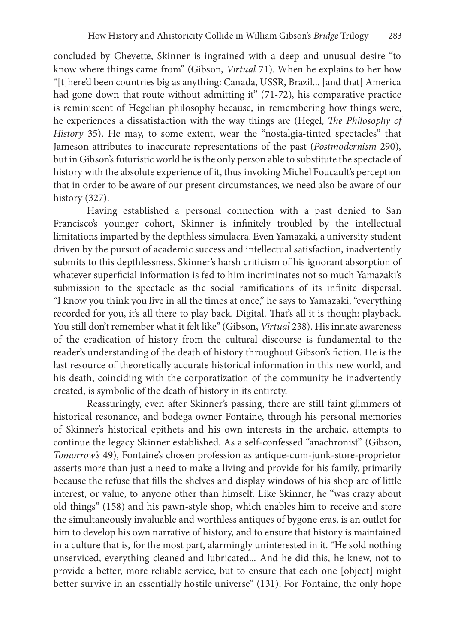concluded by Chevette, Skinner is ingrained with a deep and unusual desire "to know where things came from" (Gibson, Virtual 71). When he explains to her how "[t]here'd been countries big as anything: Canada, USSR, Brazil... [and that] America had gone down that route without admitting it" (71-72), his comparative practice is reminiscent of Hegelian philosophy because, in remembering how things were, he experiences a dissatisfaction with the way things are (Hegel, *The Philosophy of* History 35). He may, to some extent, wear the "nostalgia-tinted spectacles" that Jameson attributes to inaccurate representations of the past (Postmodernism 290), but in Gibson's futuristic world he is the only person able to substitute the spectacle of history with the absolute experience of it, thus invoking Michel Foucault's perception that in order to be aware of our present circumstances, we need also be aware of our history (327).

Having established a personal connection with a past denied to San Francisco's younger cohort, Skinner is infinitely troubled by the intellectual limitations imparted by the depthless simulacra. Even Yamazaki, a university student driven by the pursuit of academic success and intellectual satisfaction, inadvertently submits to this depthlessness. Skinner's harsh criticism of his ignorant absorption of whatever superficial information is fed to him incriminates not so much Yamazaki's submission to the spectacle as the social ramifications of its infinite dispersal. "I know you think you live in all the times at once," he says to Yamazaki, "everything recorded for you, it's all there to play back. Digital. That's all it is though: playback. You still don't remember what it felt like" (Gibson, Virtual 238). His innate awareness of the eradication of history from the cultural discourse is fundamental to the reader's understanding of the death of history throughout Gibson's fiction. He is the last resource of theoretically accurate historical information in this new world, and his death, coinciding with the corporatization of the community he inadvertently created, is symbolic of the death of history in its entirety.

Reassuringly, even after Skinner's passing, there are still faint glimmers of historical resonance, and bodega owner Fontaine, through his personal memories of Skinner's historical epithets and his own interests in the archaic, attempts to continue the legacy Skinner established. As a self-confessed "anachronist" (Gibson, Tomorrow's 49), Fontaine's chosen profession as antique-cum-junk-store-proprietor asserts more than just a need to make a living and provide for his family, primarily because the refuse that mlls the shelves and display windows of his shop are of little interest, or value, to anyone other than himself. Like Skinner, he "was crazy about old things" (158) and his pawn-style shop, which enables him to receive and store the simultaneously invaluable and worthless antiques of bygone eras, is an outlet for him to develop his own narrative of history, and to ensure that history is maintained in a culture that is, for the most part, alarmingly uninterested in it. "He sold nothing unserviced, everything cleaned and lubricated... And he did this, he knew, not to provide a better, more reliable service, but to ensure that each one [object] might better survive in an essentially hostile universe" (131). For Fontaine, the only hope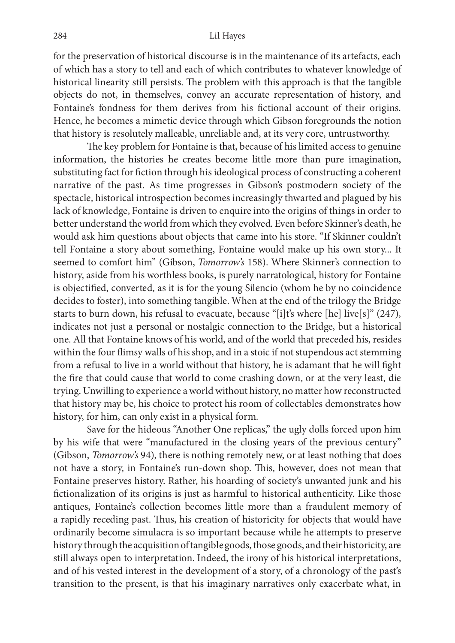for the preservation of historical discourse is in the maintenance of its artefacts, each of which has a story to tell and each of which contributes to whatever knowledge of historical linearity still persists. The problem with this approach is that the tangible objects do not, in themselves, convey an accurate representation of history, and Fontaine's fondness for them derives from his fictional account of their origins. Hence, he becomes a mimetic device through which Gibson foregrounds the notion that history is resolutely malleable, unreliable and, at its very core, untrustworthy.

The key problem for Fontaine is that, because of his limited access to genuine information, the histories he creates become little more than pure imagination, substituting fact for fiction through his ideological process of constructing a coherent narrative of the past. As time progresses in Gibson's postmodern society of the spectacle, historical introspection becomes increasingly thwarted and plagued by his lack of knowledge, Fontaine is driven to enquire into the origins of things in order to better understand the world from which they evolved. Even before Skinner's death, he would ask him questions about objects that came into his store. "If Skinner couldn't tell Fontaine a story about something, Fontaine would make up his own story... It seemed to comfort him" (Gibson, Tomorrow's 158). Where Skinner's connection to history, aside from his worthless books, is purely narratological, history for Fontaine is objectified, converted, as it is for the young Silencio (whom he by no coincidence decides to foster), into something tangible. When at the end of the trilogy the Bridge starts to burn down, his refusal to evacuate, because "[i]t's where [he] live[s]" (247), indicates not just a personal or nostalgic connection to the Bridge, but a historical one. All that Fontaine knows of his world, and of the world that preceded his, resides within the four flimsy walls of his shop, and in a stoic if not stupendous act stemming from a refusal to live in a world without that history, he is adamant that he will fight the fire that could cause that world to come crashing down, or at the very least, die trying. Unwilling to experience a world without history, no matter how reconstructed that history may be, his choice to protect his room of collectables demonstrates how history, for him, can only exist in a physical form.

Save for the hideous "Another One replicas," the ugly dolls forced upon him by his wife that were "manufactured in the closing years of the previous century" (Gibson, Tomorrow's 94), there is nothing remotely new, or at least nothing that does not have a story, in Fontaine's run-down shop. This, however, does not mean that Fontaine preserves history. Rather, his hoarding of society's unwanted junk and his fictionalization of its origins is just as harmful to historical authenticity. Like those antiques, Fontaine's collection becomes little more than a fraudulent memory of a rapidly receding past. Thus, his creation of historicity for objects that would have ordinarily become simulacra is so important because while he attempts to preserve history through the acquisition of tangible goods, those goods, and their historicity, are still always open to interpretation. Indeed, the irony of his historical interpretations, and of his vested interest in the development of a story, of a chronology of the past's transition to the present, is that his imaginary narratives only exacerbate what, in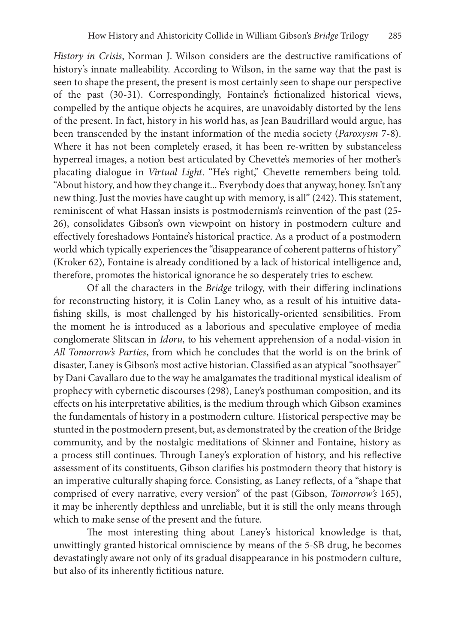History in Crisis, Norman J. Wilson considers are the destructive ramifications of history's innate malleability. According to Wilson, in the same way that the past is seen to shape the present, the present is most certainly seen to shape our perspective of the past (30-31). Correspondingly, Fontaine's fictionalized historical views, compelled by the antique objects he acquires, are unavoidably distorted by the lens of the present. In fact, history in his world has, as Jean Baudrillard would argue, has been transcended by the instant information of the media society (Paroxysm 7-8). Where it has not been completely erased, it has been re-written by substanceless hyperreal images, a notion best articulated by Chevette's memories of her mother's placating dialogue in Virtual Light. "He's right," Chevette remembers being told. "About history, and how they change it... Everybody does that anyway, honey. Isn't any new thing. Just the movies have caught up with memory, is all" (242). This statement, reminiscent of what Hassan insists is postmodernism's reinvention of the past (25- 26), consolidates Gibson's own viewpoint on history in postmodern culture and effectively foreshadows Fontaine's historical practice. As a product of a postmodern world which typically experiences the "disappearance of coherent patterns of history" (Kroker 62), Fontaine is already conditioned by a lack of historical intelligence and, therefore, promotes the historical ignorance he so desperately tries to eschew.

Of all the characters in the Bridge trilogy, with their differing inclinations for reconstructing history, it is Colin Laney who, as a result of his intuitive datafishing skills, is most challenged by his historically-oriented sensibilities. From the moment he is introduced as a laborious and speculative employee of media conglomerate Slitscan in Idoru, to his vehement apprehension of a nodal-vision in All Tomorrow's Parties, from which he concludes that the world is on the brink of disaster, Laney is Gibson's most active historian. Classified as an atypical "soothsayer" by Dani Cavallaro due to the way he amalgamates the traditional mystical idealism of prophecy with cybernetic discourses (298), Laney's posthuman composition, and its effects on his interpretative abilities, is the medium through which Gibson examines the fundamentals of history in a postmodern culture. Historical perspective may be stunted in the postmodern present, but, as demonstrated by the creation of the Bridge community, and by the nostalgic meditations of Skinner and Fontaine, history as a process still continues. Through Laney's exploration of history, and his reflective assessment of its constituents, Gibson clarifies his postmodern theory that history is an imperative culturally shaping force. Consisting, as Laney reflects, of a "shape that comprised of every narrative, every version" of the past (Gibson, Tomorrow's 165), it may be inherently depthless and unreliable, but it is still the only means through which to make sense of the present and the future.

The most interesting thing about Laney's historical knowledge is that, unwittingly granted historical omniscience by means of the 5-SB drug, he becomes devastatingly aware not only of its gradual disappearance in his postmodern culture, but also of its inherently fictitious nature.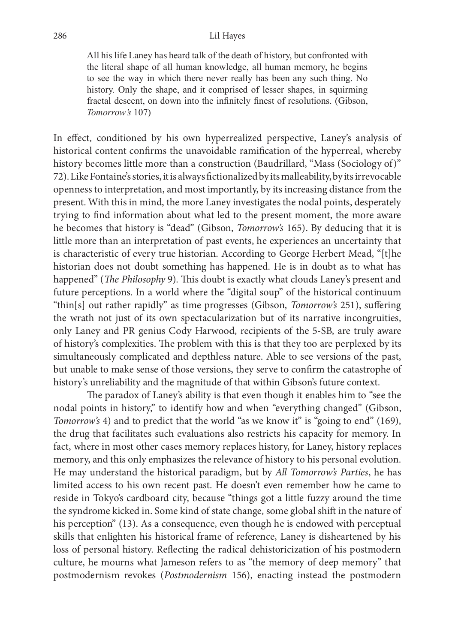All his life Laney has heard talk of the death of history, but confronted with the literal shape of all human knowledge, all human memory, he begins to see the way in which there never really has been any such thing. No history. Only the shape, and it comprised of lesser shapes, in squirming fractal descent, on down into the infinitely finest of resolutions. (Gibson, Tomorrow's 107)

In effect, conditioned by his own hyperrealized perspective, Laney's analysis of historical content confirms the unavoidable ramification of the hyperreal, whereby history becomes little more than a construction (Baudrillard, "Mass (Sociology of)" 72). Like Fontaine's stories, it is always fictionalized by its malleability, by its irrevocable openness to interpretation, and most importantly, by its increasing distance from the present. With this in mind, the more Laney investigates the nodal points, desperately trying to find information about what led to the present moment, the more aware he becomes that history is "dead" (Gibson, Tomorrow's 165). By deducing that it is little more than an interpretation of past events, he experiences an uncertainty that is characteristic of every true historian. According to George Herbert Mead, "[t]he historian does not doubt something has happened. He is in doubt as to what has happened" (*The Philosophy 9*). This doubt is exactly what clouds Laney's present and future perceptions. In a world where the "digital soup" of the historical continuum "thin[s] out rather rapidly" as time progresses (Gibson, Tomorrow's 251), suffering the wrath not just of its own spectacularization but of its narrative incongruities, only Laney and PR genius Cody Harwood, recipients of the 5-SB, are truly aware of history's complexities. The problem with this is that they too are perplexed by its simultaneously complicated and depthless nature. Able to see versions of the past, but unable to make sense of those versions, they serve to confirm the catastrophe of history's unreliability and the magnitude of that within Gibson's future context.

The paradox of Laney's ability is that even though it enables him to "see the nodal points in history," to identify how and when "everything changed" (Gibson, Tomorrow's 4) and to predict that the world "as we know it" is "going to end" (169), the drug that facilitates such evaluations also restricts his capacity for memory. In fact, where in most other cases memory replaces history, for Laney, history replaces memory, and this only emphasizes the relevance of history to his personal evolution. He may understand the historical paradigm, but by All Tomorrow's Parties, he has limited access to his own recent past. He doesn't even remember how he came to reside in Tokyo's cardboard city, because "things got a little fuzzy around the time the syndrome kicked in. Some kind of state change, some global shift in the nature of his perception" (13). As a consequence, even though he is endowed with perceptual skills that enlighten his historical frame of reference, Laney is disheartened by his loss of personal history. Reflecting the radical dehistoricization of his postmodern culture, he mourns what Jameson refers to as "the memory of deep memory" that postmodernism revokes (Postmodernism 156), enacting instead the postmodern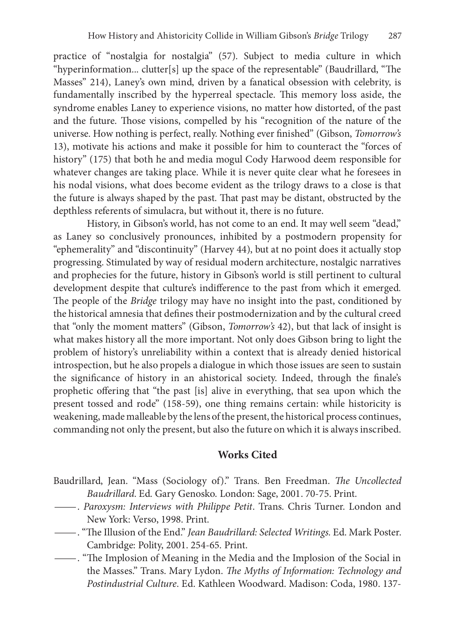practice of "nostalgia for nostalgia" (57). Subject to media culture in which "hyperinformation... clutter[s] up the space of the representable" (Baudrillard, "The Masses" 214), Laney's own mind, driven by a fanatical obsession with celebrity, is fundamentally inscribed by the hyperreal spectacle. This memory loss aside, the syndrome enables Laney to experience visions, no matter how distorted, of the past and the future. Those visions, compelled by his "recognition of the nature of the universe. How nothing is perfect, really. Nothing ever finished" (Gibson, Tomorrow's 13), motivate his actions and make it possible for him to counteract the "forces of history" (175) that both he and media mogul Cody Harwood deem responsible for whatever changes are taking place. While it is never quite clear what he foresees in his nodal visions, what does become evident as the trilogy draws to a close is that the future is always shaped by the past. That past may be distant, obstructed by the depthless referents of simulacra, but without it, there is no future.

History, in Gibson's world, has not come to an end. It may well seem "dead," as Laney so conclusively pronounces, inhibited by a postmodern propensity for "ephemerality" and "discontinuity" (Harvey 44), but at no point does it actually stop progressing. Stimulated by way of residual modern architecture, nostalgic narratives and prophecies for the future, history in Gibson's world is still pertinent to cultural development despite that culture's indifference to the past from which it emerged. The people of the Bridge trilogy may have no insight into the past, conditioned by the historical amnesia that defines their postmodernization and by the cultural creed that "only the moment matters" (Gibson, Tomorrow's 42), but that lack of insight is what makes history all the more important. Not only does Gibson bring to light the problem of history's unreliability within a context that is already denied historical introspection, but he also propels a dialogue in which those issues are seen to sustain the significance of history in an ahistorical society. Indeed, through the finale's prophetic offering that "the past [is] alive in everything, that sea upon which the present tossed and rode" (158-59), one thing remains certain: while historicity is weakening, made malleable by the lens of the present, the historical process continues, commanding not only the present, but also the future on which it is always inscribed.

## Works Cited

- Baudrillard, Jean. "Mass (Sociology of)." Trans. Ben Freedman. The Uncollected
	- Baudrillard. Ed. Gary Genosko. London: Sage, 2001. 70-75. Print.<br>
	 Paroxysm: Interviews with Philippe Petit. Trans. Chris Turner. London and<br>
	New York: Verso, 1998. Print.
- ---------. "The Illusion of the End." *Jean Baudrillard: Selected Writings*. Ed. Mark Poster.<br>Cambridge: Polity, 2001. 254-65. Print.
- Cambridge: "The Implosion of Meaning in the Media and the Implosion of the Social in the Masses." Trans. Mary Lydon. The Myths of Information: Technology and Postindustrial Culture. Ed. Kathleen Woodward. Madison: Coda, 1980. 137-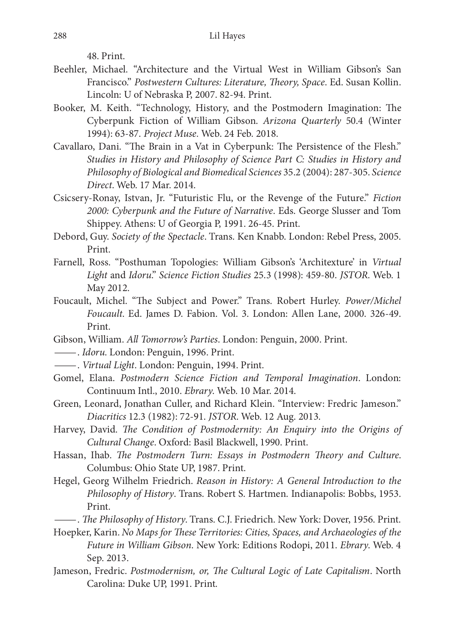48. Print.

- Beehler, Michael. "Architecture and the Virtual West in William Gibson's San Francisco." Postwestern Cultures: Literature, Theory, Space. Ed. Susan Kollin. Lincoln: U of Nebraska P, 2007. 82-94. Print.
- Booker, M. Keith. "Technology, History, and the Postmodern Imagination: The Cyberpunk Fiction of William Gibson. Arizona Quarterly 50.4 (Winter 1994): 63-87. Project Muse. Web. 24 Feb. 2018.
- Cavallaro, Dani. "The Brain in a Vat in Cyberpunk: The Persistence of the Flesh." Studies in History and Philosophy of Science Part C: Studies in History and Philosophy of Biological and Biomedical Sciences 35.2 (2004): 287-305. Science Direct. Web. 17 Mar. 2014.
- Csicsery-Ronay, Istvan, Jr. "Futuristic Flu, or the Revenge of the Future." Fiction 2000: Cyberpunk and the Future of Narrative. Eds. George Slusser and Tom Shippey. Athens: U of Georgia P, 1991. 26-45. Print.
- Debord, Guy. Society of the Spectacle. Trans. Ken Knabb. London: Rebel Press, 2005. Print.
- Farnell, Ross. "Posthuman Topologies: William Gibson's 'Architexture' in Virtual Light and Idoru." Science Fiction Studies 25.3 (1998): 459-80. JSTOR. Web. 1 May 2012.
- Foucault, Michel. "The Subject and Power." Trans. Robert Hurley. Power/Michel Foucault. Ed. James D. Fabion. Vol. 3. London: Allen Lane, 2000. 326-49. Print.
- Gibson, William. All Tomorrow's Parties. London: Penguin, 2000. Print. —. Idoru. London: Penguin, 1996. Print. —. Virtual Light. London: Penguin, 1994. Print.
- 
- 
- Gomel, Elana. Postmodern Science Fiction and Temporal Imagination. London: Continuum Intl., 2010. Ebrary. Web. 10 Mar. 2014.
- Green, Leonard, Jonathan Culler, and Richard Klein. "Interview: Fredric Jameson." Diacritics 12.3 (1982): 72-91. JSTOR. Web. 12 Aug. 2013.
- Harvey, David. The Condition of Postmodernity: An Enquiry into the Origins of Cultural Change. Oxford: Basil Blackwell, 1990. Print.
- Hassan, Ihab. *The Postmodern Turn: Essays in Postmodern Theory and Culture.* Columbus: Ohio State UP, 1987. Print.
- Hegel, Georg Wilhelm Friedrich. Reason in History: A General Introduction to the Philosophy of History. Trans. Robert S. Hartmen. Indianapolis: Bobbs, 1953. Print.<br>--- *The Philosophy of History*. Trans. C.J. Friedrich. New York: Dover, 1956. Print.
- 
- Hoepker, Karin. No Maps for These Territories: Cities, Spaces, and Archaeologies of the Future in William Gibson. New York: Editions Rodopi, 2011. Ebrary. Web. 4 Sep. 2013.
- Jameson, Fredric. Postmodernism, or, The Cultural Logic of Late Capitalism. North Carolina: Duke UP, 1991. Print.